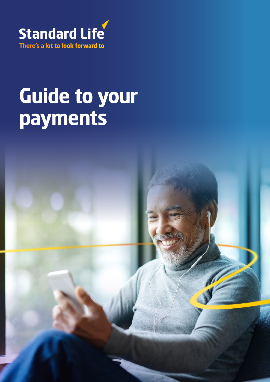

## **Guide to your payments**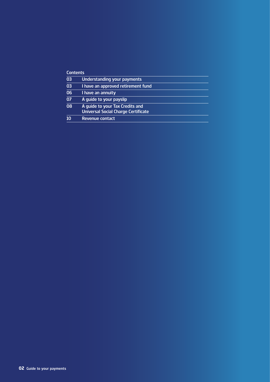#### **Contents**

| 03              | Understanding your payments                                                   |
|-----------------|-------------------------------------------------------------------------------|
| 03              | I have an approved retirement fund                                            |
| 06              | I have an annuity                                                             |
| $\overline{07}$ | A quide to your payslip                                                       |
| 80              | A guide to your Tax Credits and<br><b>Universal Social Charge Certificate</b> |
| 10              | Revenue contact                                                               |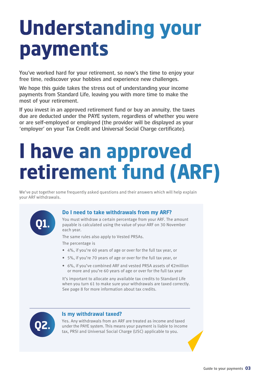## **Understanding your payments**

You've worked hard for your retirement, so now's the time to enjoy your free time, rediscover your hobbies and experience new challenges.

We hope this guide takes the stress out of understanding your income payments from Standard Life, leaving you with more time to make the most of your retirement.

If you invest in an approved retirement fund or buy an annuity, the taxes due are deducted under the PAYE system, regardless of whether you were or are self-employed or employed (the provider will be displayed as your 'employer' on your Tax Credit and Universal Social Charge certificate).

### **I have an approved retirement fund (ARF)**

We've put together some frequently asked questions and their answers which will help explain your ARF withdrawals.



#### **Do I need to take withdrawals from my ARF?**

You must withdraw a certain percentage from your ARF. The amount payable is calculated using the value of your ARF on 30 November each year.

The same rules also apply to Vested PRSAs.

The percentage is

- 4%, if you're 60 years of age or over for the full tax year, or
- 5%, if you're 70 years of age or over for the full tax year, or
- 6%, if you've combined ARF and vested PRSA assets of €2million or more and you're 60 years of age or over for the full tax year

It's important to allocate any available tax credits to Standard Life when you turn 61 to make sure your withdrawals are taxed correctly. See page 8 for more information about tax credits.



#### **Is my withdrawal taxed?**

Yes. Any withdrawals from an ARF are treated as income and taxed under the PAYE system. This means your payment is liable to income tax, PRSI and Universal Social Charge (USC) applicable to you. **Q2.**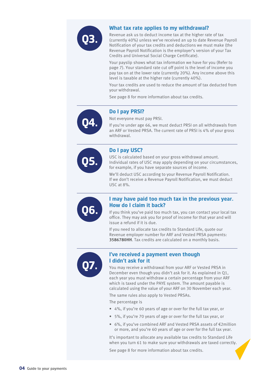

#### **What tax rate applies to my withdrawal?**

Revenue ask us to deduct income tax at the higher rate of tax (currently 40%) unless we've received an up to date Revenue Payroll Notification of your tax credits and deductions we must make (the Revenue Payroll Notification is the employer's version of your Tax Credits and Universal Social Charge Certificate).

Your payslip shows what tax information we have for you (Refer to page 7). Your standard rate cut off point is the level of income you pay tax on at the lower rate (currently 20%). Any income above this level is taxable at the higher rate (currently 40%).

Your tax credits are used to reduce the amount of tax deducted from your withdrawal.

See page 8 for more information about tax credits.



#### **Do I pay PRSI?**

Not everyone must pay PRSI.

If you're under age 66, we must deduct PRSI on all withdrawals from an ARF or Vested PRSA. The current rate of PRSI is 4% of your gross withdrawal.



#### **Do I pay USC?**

USC is calculated based on your gross withdrawal amount. Individual rates of USC may apply depending on your circumstances, for example, if you have separate sources of income.

We'll deduct USC according to your Revenue Payroll Notification. If we don't receive a Revenue Payroll Notification, we must deduct USC at 8%.



#### **I may have paid too much tax in the previous year. How do I claim it back?**

If you think you've paid too much tax, you can contact your local tax office. They may ask you for proof of income for that year and will issue a refund if it is due.

If you need to allocate tax credits to Standard Life, quote our Revenue employer number for ARF and Vested PRSA payments: **3586780HH**. Tax credits are calculated on a monthly basis.



#### **I've received a payment even though I didn't ask for it**

You may receive a withdrawal from your ARF or Vested PRSA in December even though you didn't ask for it. As explained in Q1, each year you must withdraw a certain percentage from your ARF which is taxed under the PAYE system. The amount payable is calculated using the value of your ARF on 30 November each year.

The same rules also apply to Vested PRSAs.

The percentage is

- 4%, if you're 60 years of age or over for the full tax year, or
- 5%, if you're 70 years of age or over for the full tax year, or
- 6%, if you've combined ARF and Vested PRSA assets of €2million or more, and you're 60 years of age or over for the full tax year.

It's important to allocate any available tax credits to Standard Life when you turn 61 to make sure your withdrawals are taxed correctly.

See page 8 for more information about tax credits.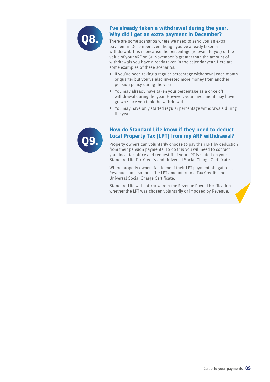

#### **I've already taken a withdrawal during the year. Why did I get an extra payment in December?**

There are some scenarios where we need to send you an extra payment in December even though you've already taken a withdrawal. This is because the percentage (relevant to you) of the value of your ARF on 30 November is greater than the amount of withdrawals you have already taken in the calendar year. Here are some examples of these scenarios:

- If you've been taking a regular percentage withdrawal each month or quarter but you've also invested more money from another pension policy during the year
- You may already have taken your percentage as a once off withdrawal during the year. However, your investment may have grown since you took the withdrawal
- You may have only started regular percentage withdrawals during the year



#### **How do Standard Life know if they need to deduct Local Property Tax (LPT) from my ARF withdrawal?**

Property owners can voluntarily choose to pay their LPT by deduction from their pension payments. To do this you will need to contact your local tax office and request that your LPT is stated on your Standard Life Tax Credits and Universal Social Charge Certificate.

Where property owners fail to meet their LPT payment obligations, Revenue can also force the LPT amount onto a Tax Credits and Universal Social Charge Certificate.

Standard Life will not know from the Revenue Payroll Notification whether the LPT was chosen voluntarily or imposed by Revenue.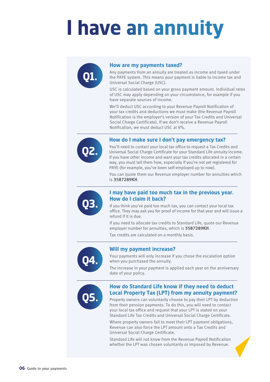## **I have an annuity**

#### **How are my payments taxed?**

Any payments from an annuity are treated as income and taxed under the PAYE system. This means your payment is liable to income tax and Universal Social Charge (USC).

USC is calculated based on your gross payment amount. Individual rates of USC may apply depending on your circumstance, for example if you have separate sources of income.

We'll deduct USC according to your Revenue Payroll Notification of your tax credits and deductions we must make (the Revenue Payroll Notification is the employer's version of your Tax Credits and Universal Social Charge Certificate). If we don't receive a Revenue Payroll Notification, we must deduct USC at 8%.



**Q1.**

#### **How do I make sure I don't pay emergency tax?**

You'll need to contact your local tax office to request a Tax Credits and Universal Social Charge Certificate for your Standard Life annuity income. If you have other income and want your tax credits allocated in a certain way, you must tell them how, especially if you're not yet registered for PAYE (for example, you've been self-employed up to now).

You can quote them our Revenue employer number for annuities which is **3587289KH**.



#### **I may have paid too much tax in the previous year. How do I claim it back?**

If you think you've paid too much tax, you can contact your local tax office. They may ask you for proof of income for that year and will issue a refund if it is due.

If you need to allocate tax credits to Standard Life, quote our Revenue employer number for annuities, which is **3587289KH**.

Tax credits are calculated on a monthly basis.



#### **Will my payment increase?**

Your payments will only increase if you chose the escalation option when you purchased the annuity.

The increase in your payment is applied each year on the anniversary date of your policy.



#### **How do Standard Life know if they need to deduct Local Property Tax (LPT) from my annuity payment?**

Property owners can voluntarily choose to pay their LPT by deduction from their pension payments. To do this, you will need to contact your local tax office and request that your LPT is stated on your Standard Life Tax Credits and Universal Social Charge Certificate.

Where property owners fail to meet their LPT payment obligations, Revenue can also force the LPT amount onto a Tax Credits and Universal Social Charge Certificate.

Standard Life will not know from the Revenue Payroll Notification whether the LPT was chosen voluntarily or imposed by Revenue.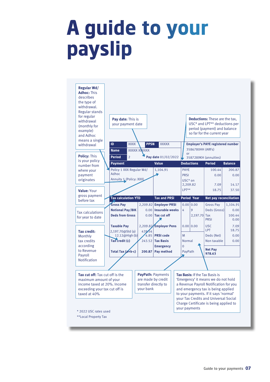### **A guide to your payslip**

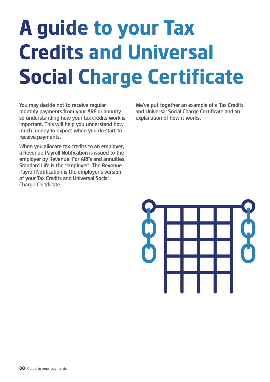# **A guide to your Tax Credits and Universal Social Charge Certificate**

You may decide not to receive regular monthly payments from your ARF or annuity so understanding how your tax credits work is important. This will help you understand how much money to expect when you do start to receive payments.

When you allocate tax credits to an employer, a Revenue Payroll Notification is issued to the employer by Revenue. For ARFs and annuities, Standard Life is the 'employer'. The Revenue Payroll Notification is the employer's version of your Tax Credits and Universal Social Charge Certificate.

We've put together an example of a Tax Credits and Universal Social Charge Certificate and an explanation of how it works.

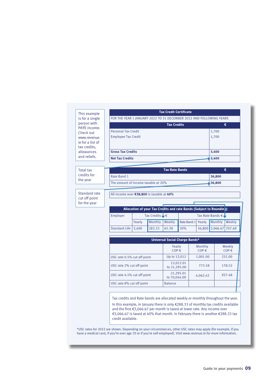This example is for a single person with PAYE income. Check out www.revenue. ie for a list of tax credits, allowances and reliefs.

| <b>Tax Credit Certificate</b>                                       |       |
|---------------------------------------------------------------------|-------|
| FOR THE YEAR 1 JANUARY 2022 TO 31 DECEMBER 2022 AND FOLLOWING YEARS |       |
| <b>Tax Credits</b>                                                  | €     |
| <b>Personal Tax Credit</b>                                          | 1,700 |
| <b>Employee Tax Credit</b>                                          | 1,700 |
|                                                                     |       |
| <b>Gross Tax Credits</b>                                            | 3,400 |
| <b>Net Tax Credits</b>                                              | 3,400 |

**Tax Rate Bands €**

**36,800 36,800**

Total tax credits for the year

Standard rate cut off point for the year

All income over **€38,800** is taxable at **40%**

The amount of income taxable at 20%

Rate Band 1

|                       |        |                             |        | Allocation of your Tax Credits and rate Bands (Subject to Rounding) |                             |        |
|-----------------------|--------|-----------------------------|--------|---------------------------------------------------------------------|-----------------------------|--------|
| Employer              |        | Tax Credits $\bigcup$ $\in$ |        |                                                                     | Tax Rate Bands $\epsilon$ ↓ |        |
|                       | Yearly | Monthly                     | Weekly | Rate Band 1 Yearly Monthly                                          |                             | Weekly |
| Standard Life   3,400 |        | 283.33                      | 65.38  | 20%                                                                 | 36,800 3,066.67 707.69      |        |

| Universal Social Charge Bands* |                      |                     |  |  |  |
|--------------------------------|----------------------|---------------------|--|--|--|
| Yearly<br>$COP \in$            | Monthly<br>$COP \in$ | Weekly<br>$COP \in$ |  |  |  |
| Up to 12,012                   | 1,001.00             | 231.00              |  |  |  |
| 12,012.01<br>to 21,295.00      | 773.58               | 178.52              |  |  |  |
| 21,295.01<br>to 70,044,00      | 4,062.42             | 937.48              |  |  |  |
| <b>Balance</b>                 |                      |                     |  |  |  |
|                                |                      |                     |  |  |  |

Tax credits and Rate bands are allocated weekly or monthly throughout the year. In this example, in January there is only €288.33 of monthly tax credits available and the first €3,066.67 per month is taxed at lower rate. Any income over €3,066.67 is taxed at 40% that month. In February there is another €288.33 tax credit available.

\*USC rates for 2022 are shown. Depending on your circumstances, other USC rates may apply (for example, if you have a medical card, if you're over age 70 or if you're self employed). Visit www.revenue.ie for more information.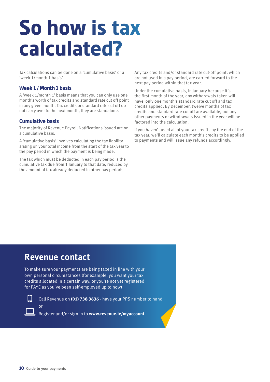## **So how is tax calculated?**

Tax calculations can be done on a 'cumulative basis' or a 'week 1/month 1 basis'.

#### **Week 1 / Month 1 basis**

A 'week 1/month 1' basis means that you can only use one month's worth of tax credits and standard rate cut off point in any given month. Tax credits or standard rate cut off do not carry over to the next month, they are standalone.

#### **Cumulative basis**

The majority of Revenue Payroll Notifications issued are on a cumulative basis.

A 'cumulative basis' involves calculating the tax liability arising on your total income from the start of the tax year to the pay period in which the payment is being made.

The tax which must be deducted in each pay period is the cumulative tax due from 1 January to that date, reduced by the amount of tax already deducted in other pay periods.

Any tax credits and/or standard rate cut-off point, which are not used in a pay period, are carried forward to the next pay period within that tax year.

Under the cumulative basis, in January because it's the first month of the year, any withdrawals taken will have only one month's standard rate cut off and tax credits applied. By December, twelve months of tax credits and standard rate cut off are available, but any other payments or withdrawals issued in the year will be factored into the calculation.

If you haven't used all of your tax credits by the end of the tax year, we'll calculate each month's credits to be applied to payments and will issue any refunds accordingly.

### **Revenue contact**

To make sure your payments are being taxed in line with your own personal circumstances (for example, you want your tax credits allocated in a certain way, or you're not yet registered for PAYE as you've been self-employed up to now)



 $\Box$ 

or

Call Revenue on **(01) 738 3636** - have your PPS number to hand

Register and/or sign in to **www.revenue.ie/myaccount**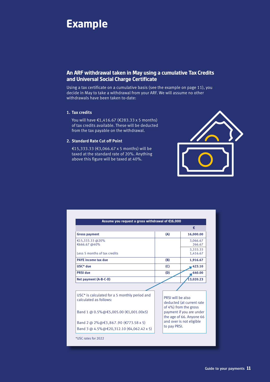

#### **An ARF withdrawal taken in May using a cumulative Tax Credits and Universal Social Charge Certificate**

Using a tax certificate on a cumulative basis (see the example on page 11), you decide in May to take a withdrawal from your ARF. We will assume no other withdrawals have been taken to-date:

#### **1. Tax credits**

You will have €1,416.67 (€283.33 x 5 months) of tax credits available. These will be deducted from the tax payable on the withdrawal.

#### **2. Standard Rate Cut off Point**

€15,333.33 (€3,066.67 x 5 months) will be taxed at the standard rate of 20%. Anything above this figure will be taxed at 40%.



|                                                                            |                                                                                                  | €                                                                       |  |  |
|----------------------------------------------------------------------------|--------------------------------------------------------------------------------------------------|-------------------------------------------------------------------------|--|--|
| <b>Gross payment</b>                                                       | (A)                                                                                              | 16,000.00                                                               |  |  |
| €15,333.33 @20%<br>€666.67 @40%                                            |                                                                                                  | 3,066.67<br>266.67                                                      |  |  |
| Less 5 months of tax credits                                               |                                                                                                  | 3.333.33<br>1,416.67                                                    |  |  |
| <b>PAYE income tax due</b><br>(B)                                          |                                                                                                  | 1,916.67                                                                |  |  |
| USC* due                                                                   | (C)                                                                                              | 423.10                                                                  |  |  |
| <b>PRSI</b> due                                                            | (D)                                                                                              | 640.00                                                                  |  |  |
| Net payment (A-B-C-D)                                                      |                                                                                                  | 13.020.23                                                               |  |  |
|                                                                            |                                                                                                  |                                                                         |  |  |
| $USC^*$ is calculated for a 5 monthly period and<br>calculated as follows: |                                                                                                  | PRSI will be also<br>deducted (at current rate<br>of 4%) from the gross |  |  |
| Band 1 @ 0.5% @ €5,005.00 (€1,001.00x5)                                    | payment if you are under<br>the age of 66. Anyone 66<br>and over is not eligible<br>to pay PRSI. |                                                                         |  |  |
| Band 2 @ 2%@€3,867.90 (€773.58 x 5)                                        |                                                                                                  |                                                                         |  |  |
| Band 3 @ 4.5% @ € 20, 312.10 (€ 4, 062. 42 x 5)                            |                                                                                                  |                                                                         |  |  |